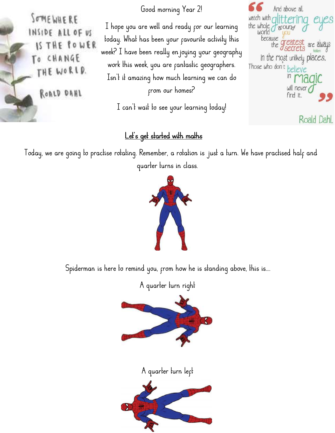Good morning Year 2!

Good morning Year 2!<br>I hope you are well and ready for our learning the whole dittering<br>doday. What has been your favourite activity this because the greatest<br>eck? I have been really enjoying your geography Good morning Year 2!<br>
I hope you are well and ready for our learning<br>
the whole discursed would be<br>
because the greatest are<br>
veck? I have been really enjoying your geography<br>
work this week you are cantastic geographers. Good morning Year 2!<br>
I hope you are well and ready for our learning<br>
let whole district of avoing<br>
let whole you what has been your favourite activity this<br>
week? I have been really enjoying your geography<br>
work this week Good morning Year 2!<br>
Let the populate of the whole you are well and ready for our learning the whole world<br>
because the graphs<br>
ek? I have been really enjoying your geography<br>
work this week, you are fantastic geographers I hope you are well and ready for our learning the whole dround world would be determined by the whole dround would be determined be determined by the drawing versel.<br>
Evek? I have been really en joying your geography thi From your pavourile activity this<br>
m really enjoying your geography<br>
you are pantastic geographers. Those<br>
g how much learning we can do<br>
prom our homes?<br>
t to see your learning today! I have been really enjoying your geography<br>
It it seek, you are fantastic geographers. Those who don't belief<br>
It it amazing how much learning we can do<br>
from our homes?<br>
I can't wait to see your learning today!<br>
It is a s explore the much learning we can do<br>from our homes?<br>an't wait to see your learning today!<br>Let's get started with maths<br>ting. Remember, a rotation is just a turn. We have pro

Today, we are going to practise rotating. Remember, a rotation is just a turn. We have practised half and quarter turns in class. wait to see your learning today!<br>
s get started with maths<br>
Remember, a rotation is just a turn. We have pr<br>
quarter turns in class.

Spiderman is here to remind you, from how he is standing above, this is....<br>A quarter turn right Spiderman is here to remind you, from how he is standing above, this is....<br>A quarter turn right







SOMEWHERE INSIDE ALL OF US IS THE POWER To CHANGE THE WORLD.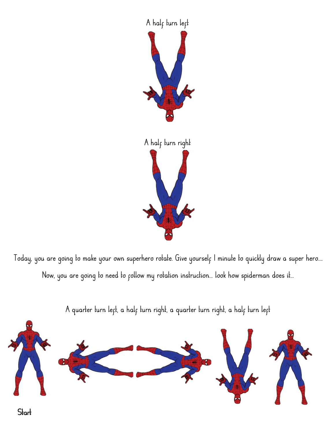

Today, you are going to make your own superhero rotate. Give yourself I minute to quickly draw a super hero....<br>Now, you are going to need to follow my rotation instruction... look how spiderman does it... Now, you are going to need to follow my rotation instruction... look how spiderman does it... ing to make your own superhero rotate. Give yourself I minute to quickly draw a super hero....<br>A quarter turn left, a half turn right, a quarter turn right, a half turn left<br>A quarter turn left, a half turn right, a quarte



**Start**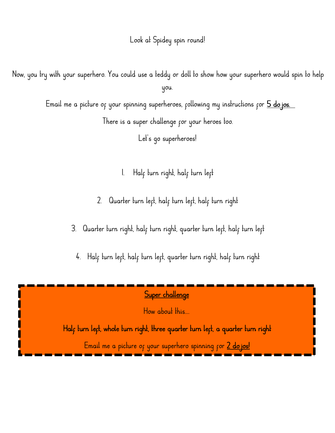Look at Spidey spin round!

Look at Spidey spin round!<br>Now, you try with your superhero. You could use a teddy or doll to show how your superhero would spin to help<br>you. you. with your superhero. You could use a teddy or doll to show how your superhero would spin to help<br>you.<br>Email me a picture of your spinning superheroes, following my instructions for  $\frac{5 \text{ do jos.}}{5}$ <br>There is a super challen Now, you try with your superhero. You could use a teddy or doll to show how your superhero would spin to help<br>you.<br>Email me a picture of your spinning superheroes, following my instructions for 5 dojos.<br>There is a super ch

Email me a picture of your spinning superheroes, following my instructions for 5 do jos.

- 1. Half turn right, half turn left
- 2. Quarter turn left, half turn left, half turn right

3. Quarter turn right, half turn right, quarter turn left, half turn left

4. Half turn left, half turn left, quarter turn right, half turn right

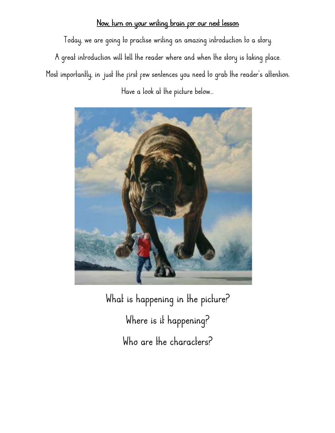Now, turn on your writing brain for our next lesson<br>Today, we are going to practise writing an amazing introduction to a story. Now, turn on your writing brain for our next lesson.<br>Today, we are going to practise writing an amazing introduction to a story.<br>Ireat introduction will tell the reader where and when the story is taking place. Now, turn on your writing brain for our next lesson.<br>Today, we are going to practise writing an amazing introduction to a story.<br>A great introduction will tell the reader where and when the story is taking place.<br>It import Now, turn on your writing brain for our next lesson.<br>Today, we are going to practise writing an amazing introduction to a story.<br>A great introduction will tell the reader where and when the story is taking place.<br>Most impo A great introduction will tell the reader where and when the story is taking place.<br>Most importantly, in just the first few sentences you need to grab the reader's attention.<br>Have a look at the picture below...



is happening in the picture?<br>Where is it happening?<br>Who are the characters? Franking in the picture?<br>Where is it happening?<br>Who are the characters?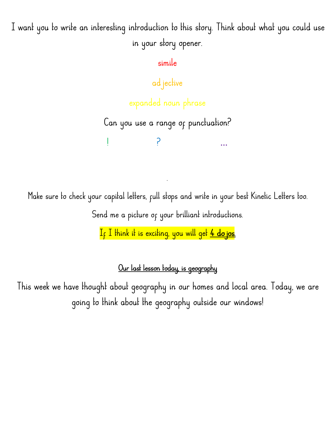I want you to write an interesting introduction to this story. Think about what you could use itroduction to this story. Think about wh<br>in your story opener.<br>simile

simile

adjective

in your siory opener.<br>simile<br>ad jective<br>expanded noun phrase<br>u use a range of punctuation? simue<br>
ad jective<br>
expanded noun phrase<br>
Can you use a range of punctuation?<br>
! ? ...

! ? …

. Make sure to check your capital letters, full stops and write in your best Kinetic Letters too. Make sure to check your capital letters, full stops and write in your best Kinetic Letters too.<br>Send me a picture of your brilliant introductions.

If I think it is exciting, you will get 4 dojos.

a picture of your brilliant introductions.<br><mark>iink it is exciting, you will get <u>4 do jos.</u><br>Our last lesson today, is geography<br>out geography in our homes and local area. T</mark>  $\frac{1}{\sqrt{5}}$  I think it is exciting, you will get  $\frac{4}{1}$  do jos.<br>Our last lesson today, is geography<br>This week we have thought about geography in our homes and local area. Today, we are<br>going to think about the geograp <u>Our last lesson today, is geography</u><br>we thought about geography in our homes and local area. Today, we are<br>going to think about the geography outside our windows!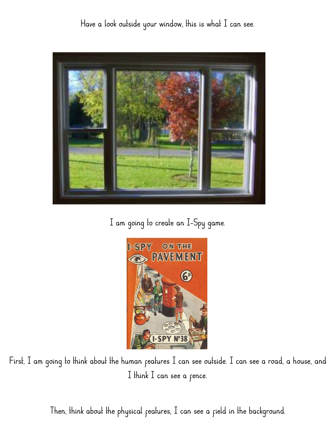Have a look outside your window, this is what I can see.





First, I am going to think about the human features I can see outside. I can see a road, a house, and<br>I think I can see a fence. THE TREE IS CONTROLLED TO THE TREE CALCULATED TO THE TREE CALCULATED TO THE TREE CALCULATED TO THE TREE CALCULATED TO THE TREE CALCULATED TO THE TREE CALCULATED TO THE TREE CALCULATED TO THE TREE CALCULATED TO THE TREE CAL oing to think about the human features I can see outside. I can see a road, a house, and<br>I think I can see a fence.<br>Then, think about the physical features, I can see a field in the background.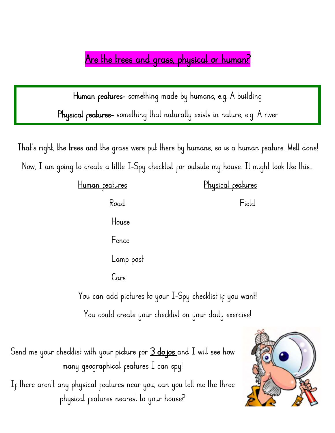Are the trees and grass, physical or human?

Are the trees and grass, physical or human?<br>Human features- something made by humans, e.g. A building<br>ical features- something that naturally exists in nature, e.g. A river Physical features- something that naturally exists in nature, e.g. A river

Human features- something made by humans, e.g. A building<br>Physical features- something that naturally exists in nature, e.g. A river<br>That's right, the trees and the grass were put there by humans, so is a human feature. We Physical features- something that naturally exists in nature, e.g. A river<br>hat's right, the trees and the grass were put there by humans, so is a human feature. Well done!<br>Now, I am going to create a little I-Spy checklist That's right, the trees and the grass were put there by humans, so is a human feature. Well done! Now, I am going to create a little I-Spy checklist for outside my house. It might look like this...

| Human <sub>features</sub>                                                                                                 | Physical reatures |
|---------------------------------------------------------------------------------------------------------------------------|-------------------|
| Road                                                                                                                      | Field             |
| House                                                                                                                     |                   |
| Fence                                                                                                                     |                   |
| Lamp post                                                                                                                 |                   |
| Cars                                                                                                                      |                   |
| You can add pictures to your I-Spy checklist if you want!                                                                 |                   |
| You could create your checklist on your daily exercise!                                                                   |                   |
| Send me your checklist with your picture for <u>3 do jos a</u> nd I will see how<br>many geographical reatures I can spy! |                   |

You could create your checklist on your daily exercise!<br>
Wecklist with your picture for <u>3 do jos a</u>nd I will see how<br>
many geographical features I can spy!<br>
My physical features near you, can you tell me the three

Send me your checklist with your picture for 3 do jos and I will see how<br>many geographical features I can spy!<br>If there aren't any physical features near you, can you tell me the three<br>physical features nearest to your hou hecklist with your picture for **3 do jos** and I will see how<br>many geographical features I can spy!<br>uny physical features neare you, can you tell me the three<br>physical features nearest to your house?